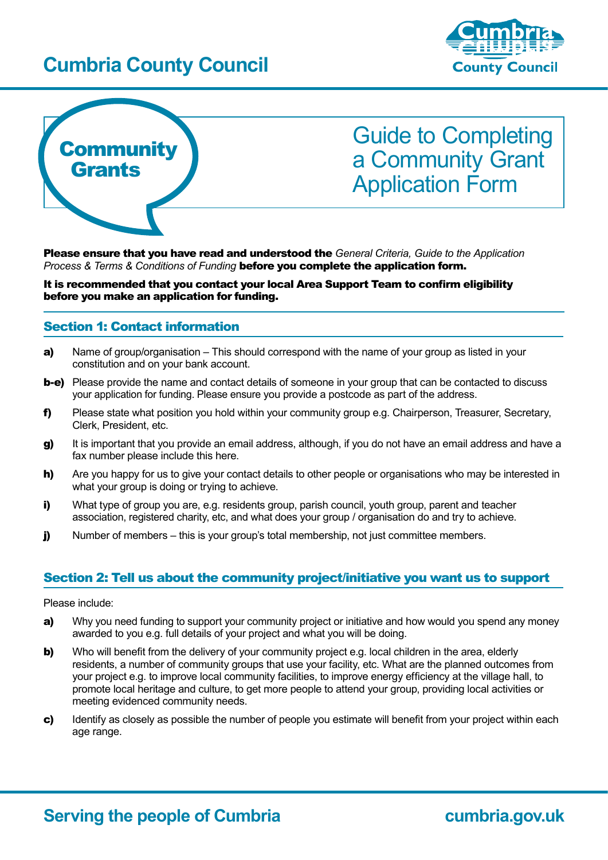## **Cumbria County Council**





# Guide to Completing a Community Grant Application Form

Please ensure that you have read and understood the *General Criteria, Guide to the Application Process & Terms & Conditions of Funding* before you complete the application form.

It is recommended that you contact your local Area Support Team to confirm eligibility before you make an application for funding.

#### Section 1: Contact information

- a) Name of group/organisation This should correspond with the name of your group as listed in your constitution and on your bank account.
- **b-e)** Please provide the name and contact details of someone in your group that can be contacted to discuss your application for funding. Please ensure you provide a postcode as part of the address.
- f) Please state what position you hold within your community group e.g. Chairperson, Treasurer, Secretary, Clerk, President, etc.
- **g)** It is important that you provide an email address, although, if you do not have an email address and have a fax number please include this here.
- h) Are you happy for us to give your contact details to other people or organisations who may be interested in what your group is doing or trying to achieve.
- i) What type of group you are, e.g. residents group, parish council, youth group, parent and teacher association, registered charity, etc, and what does your group / organisation do and try to achieve.
- **j)** Number of members this is your group's total membership, not just committee members.

## Section 2: Tell us about the community project/initiative you want us to support

Please include:

- a) Why you need funding to support your community project or initiative and how would you spend any money awarded to you e.g. full details of your project and what you will be doing.
- **b)** Who will benefit from the delivery of your community project e.g. local children in the area, elderly residents, a number of community groups that use your facility, etc. What are the planned outcomes from your project e.g. to improve local community facilities, to improve energy efficiency at the village hall, to promote local heritage and culture, to get more people to attend your group, providing local activities or meeting evidenced community needs.
- c) Identify as closely as possible the number of people you estimate will benefit from your project within each age range.

## **Serving the people of Cumbria <b>Cumbria cumbria.gov.uk**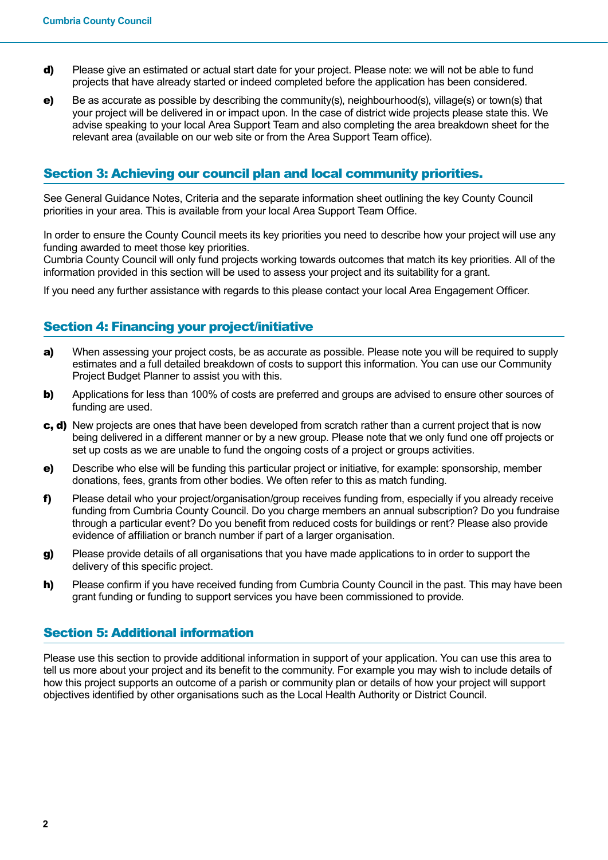- d) Please give an estimated or actual start date for your project. Please note: we will not be able to fund projects that have already started or indeed completed before the application has been considered.
- e) Be as accurate as possible by describing the community(s), neighbourhood(s), village(s) or town(s) that your project will be delivered in or impact upon. In the case of district wide projects please state this. We advise speaking to your local Area Support Team and also completing the area breakdown sheet for the relevant area (available on our web site or from the Area Support Team office).

## Section 3: Achieving our council plan and local community priorities.

See General Guidance Notes, Criteria and the separate information sheet outlining the key County Council priorities in your area. This is available from your local Area Support Team Office.

In order to ensure the County Council meets its key priorities you need to describe how your project will use any funding awarded to meet those key priorities.

Cumbria County Council will only fund projects working towards outcomes that match its key priorities. All of the information provided in this section will be used to assess your project and its suitability for a grant.

If you need any further assistance with regards to this please contact your local Area Engagement Officer.

## Section 4: Financing your project/initiative

- a) When assessing your project costs, be as accurate as possible. Please note you will be required to supply estimates and a full detailed breakdown of costs to support this information. You can use our Community Project Budget Planner to assist you with this.
- b) Applications for less than 100% of costs are preferred and groups are advised to ensure other sources of funding are used.
- c, d) New projects are ones that have been developed from scratch rather than a current project that is now being delivered in a different manner or by a new group. Please note that we only fund one off projects or set up costs as we are unable to fund the ongoing costs of a project or groups activities.
- e) Describe who else will be funding this particular project or initiative, for example: sponsorship, member donations, fees, grants from other bodies. We often refer to this as match funding.
- f) Please detail who your project/organisation/group receives funding from, especially if you already receive funding from Cumbria County Council. Do you charge members an annual subscription? Do you fundraise through a particular event? Do you benefit from reduced costs for buildings or rent? Please also provide evidence of affiliation or branch number if part of a larger organisation.
- g) Please provide details of all organisations that you have made applications to in order to support the delivery of this specific project.
- h) Please confirm if you have received funding from Cumbria County Council in the past. This may have been grant funding or funding to support services you have been commissioned to provide.

#### Section 5: Additional information

Please use this section to provide additional information in support of your application. You can use this area to tell us more about your project and its benefit to the community. For example you may wish to include details of how this project supports an outcome of a parish or community plan or details of how your project will support objectives identified by other organisations such as the Local Health Authority or District Council.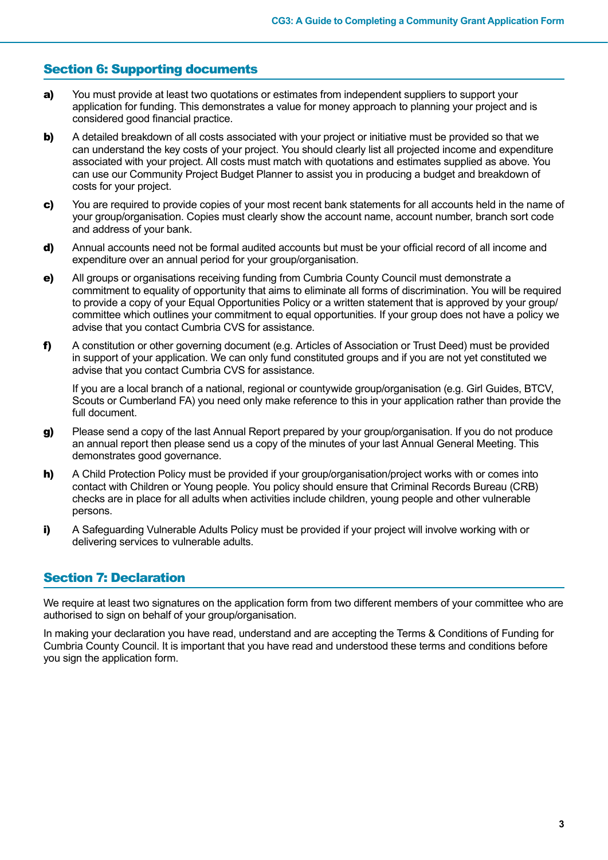## Section 6: Supporting documents

- a) You must provide at least two quotations or estimates from independent suppliers to support your application for funding. This demonstrates a value for money approach to planning your project and is considered good financial practice.
- **b)** A detailed breakdown of all costs associated with your project or initiative must be provided so that we can understand the key costs of your project. You should clearly list all projected income and expenditure associated with your project. All costs must match with quotations and estimates supplied as above. You can use our Community Project Budget Planner to assist you in producing a budget and breakdown of costs for your project.
- c) You are required to provide copies of your most recent bank statements for all accounts held in the name of your group/organisation. Copies must clearly show the account name, account number, branch sort code and address of your bank.
- d) Annual accounts need not be formal audited accounts but must be your official record of all income and expenditure over an annual period for your group/organisation.
- e) All groups or organisations receiving funding from Cumbria County Council must demonstrate a commitment to equality of opportunity that aims to eliminate all forms of discrimination. You will be required to provide a copy of your Equal Opportunities Policy or a written statement that is approved by your group/ committee which outlines your commitment to equal opportunities. If your group does not have a policy we advise that you contact Cumbria CVS for assistance.
- f) A constitution or other governing document (e.g. Articles of Association or Trust Deed) must be provided in support of your application. We can only fund constituted groups and if you are not yet constituted we advise that you contact Cumbria CVS for assistance.

If you are a local branch of a national, regional or countywide group/organisation (e.g. Girl Guides, BTCV, Scouts or Cumberland FA) you need only make reference to this in your application rather than provide the full document.

- g) Please send a copy of the last Annual Report prepared by your group/organisation. If you do not produce an annual report then please send us a copy of the minutes of your last Annual General Meeting. This demonstrates good governance.
- h) A Child Protection Policy must be provided if your group/organisation/project works with or comes into contact with Children or Young people. You policy should ensure that Criminal Records Bureau (CRB) checks are in place for all adults when activities include children, young people and other vulnerable persons.
- i) A Safeguarding Vulnerable Adults Policy must be provided if your project will involve working with or delivering services to vulnerable adults.

## Section 7: Declaration

We require at least two signatures on the application form from two different members of your committee who are authorised to sign on behalf of your group/organisation.

In making your declaration you have read, understand and are accepting the Terms & Conditions of Funding for Cumbria County Council. It is important that you have read and understood these terms and conditions before you sign the application form.